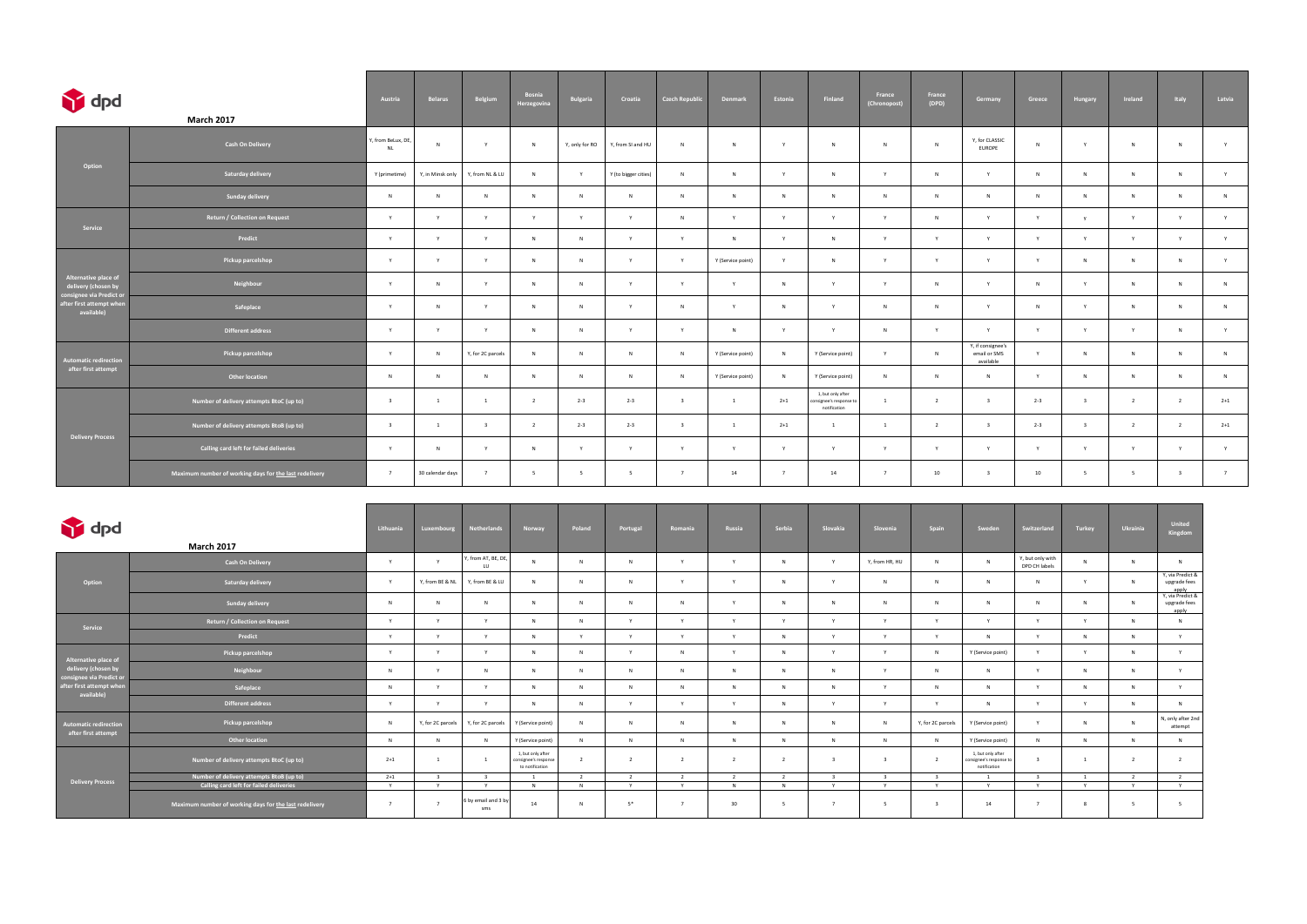| dpd                                                                                           | <b>March 2017</b>                                      | Austria                       | <b>Belarus</b>   | Belgium                 | Bosnia<br>Herzegovina | Bulgaria       | Croatia              | <b>Czech Republic</b>   | Denmark           | Estonia        | Finland                                                     | France<br>(Chronopost) | France<br>(DPD) | Germany                                        | Greece  | Hungary        | Ireland        | Italy          | Latvia         |
|-----------------------------------------------------------------------------------------------|--------------------------------------------------------|-------------------------------|------------------|-------------------------|-----------------------|----------------|----------------------|-------------------------|-------------------|----------------|-------------------------------------------------------------|------------------------|-----------------|------------------------------------------------|---------|----------------|----------------|----------------|----------------|
| Option                                                                                        | <b>Cash On Delivery</b>                                | , from BeLux, DE<br><b>NL</b> | $\mathsf{N}$     | Y                       | N                     | Y, only for RO | Y, from SI and HU    | N                       | N                 | Y              | N                                                           | N                      | N               | Y, for CLASSIC<br><b>EUROPE</b>                | N       | Y              | N              | N              | Y              |
|                                                                                               | Saturday delivery                                      | Y (primetime)                 | Y, in Minsk only | Y, from NL & LU         | N                     | Y              | Y (to bigger cities) | N                       | N                 | Y              | N                                                           | Y                      | $\mathsf{N}$    | Y                                              | N       | N              | N              | N              | Y              |
|                                                                                               | Sunday delivery                                        | N                             | $\mathsf{N}$     | N                       | N                     | $\mathsf{N}$   | N                    | N                       | N                 | N              | N                                                           | N                      | $\mathsf{N}$    | $\mathsf{N}$                                   | N       | N              | N              | N              | N              |
| Service                                                                                       | Return / Collection on Request                         | Y                             | Y                | Y                       | Y                     | Y              | Y                    | N                       | Y                 | Y              | Y                                                           | Y                      | N               | Y                                              | Y       | $\mathbf{v}$   | Y              | Y              | Y              |
|                                                                                               | Predict                                                | Y                             | Y                | Y                       | N                     | N              | Y                    | Y                       | N                 | Y              | N                                                           | Y                      | Y               | Y                                              | Y       | Y              | Y              | Y              | Y              |
| Alternative place of<br>delivery (chosen by                                                   | Pickup parcelshop                                      | Y                             | Y                | $\mathsf{Y}$            | N                     | $\mathsf{N}$   | Y                    | Y                       | Y (Service point) | Y              | N                                                           | Y                      | Y               | Y                                              | Y       | N              | N              | N              | Y              |
|                                                                                               | Neighbour                                              | Y                             | $\mathsf{N}$     | Y                       | N                     | N              | Y                    | Y                       | Y                 | N              | Y                                                           | Y                      | N               | Y                                              | N       | Y              | N              | N              | N              |
| onsignee via Predict or<br>consignee via Predict or<br>after first attempt when<br>available) | Safeplace                                              | Y                             | $\mathsf{N}$     | Y                       | N                     | $\mathsf{N}$   | Y                    | N                       | Y                 | N              | Y                                                           | N                      | N               | Y                                              | N       | Y              | N              | N              | N              |
|                                                                                               | Different address                                      | Y                             | Y                | Y                       | N                     | $\mathsf{N}$   | Y                    | Y                       | N                 | Y              | Y                                                           | N                      | Y               | Y                                              | Y       | Y              | Y              | N              | Y              |
| utomatic redirection                                                                          | Pickup parcelshop                                      | Y                             | $\mathsf{N}$     | Y, for 2C parcels       | N                     | N              | N                    | N                       | Y (Service point) | N              | Y (Service point)                                           | Y                      | N               | Y, if consignee's<br>email or SMS<br>available | Y       | N              | N              | N              | N              |
| after first attempt                                                                           | Other location                                         | $\,$ N                        | $\mathsf{N}$     | N                       | $\mathsf{N}$          | $\mathsf{N}$   | N                    | N                       | Y (Service point) | N              | Y (Service point)                                           | N                      | N               | N                                              | Y       | N              | N              | N              | N              |
| <b>Delivery Process</b>                                                                       | Number of delivery attempts BtoC (up to)               | $\overline{\mathbf{3}}$       | $\overline{1}$   | $\overline{1}$          | $\overline{2}$        | $2 - 3$        | $2 - 3$              | $\overline{\mathbf{3}}$ | $\overline{1}$    | $2 + 1$        | 1, but only after<br>onsignee's response to<br>notification | $\mathbf{1}$           | $\overline{2}$  | $\overline{\mathbf{3}}$                        | $2 - 3$ | $\overline{3}$ | $\overline{2}$ | $\overline{2}$ | $2 + 1$        |
|                                                                                               | Number of delivery attempts BtoB (up to)               | $\overline{\mathbf{3}}$       | <sup>1</sup>     | $\overline{\mathbf{3}}$ | $\overline{2}$        | $2 - 3$        | $2 - 3$              | $\overline{\mathbf{3}}$ | $\overline{1}$    | $2 + 1$        | <sup>1</sup>                                                | $\mathbf{1}$           | $\overline{2}$  | $\overline{\mathbf{3}}$                        | $2 - 3$ | $\overline{3}$ | $\overline{2}$ | $\overline{2}$ | $2 + 1$        |
|                                                                                               | Calling card left for failed deliveries                | Y                             | $\mathsf{N}$     | Y                       | N                     | Y              | Y                    | Y                       | Y                 | Y              | Y                                                           | Y                      | Y               | Y                                              | Y       | Y              | Y              | Y              | Y              |
|                                                                                               | Maximum number of working days for the last redelivery | $7\overline{ }$               | 30 calendar days | $\overline{7}$          | 5                     | 5              | 5                    | $7^{\circ}$             | 14                | $\overline{7}$ | 14                                                          | 7                      | 10              | $\overline{\mathbf{3}}$                        | 10      | - 5            | $-5$           | $\overline{3}$ | $\overline{7}$ |

| dpd                                                                     | <b>March 2017</b>                                      | Lithuania      | Luxembourg        | <b>Netherlands</b>         | Norway                                                       | Poland         | Portugal       | Romania        | Russia         | Serbia         | Slovakia                | Slovenia       | Spain                   | Sweden                                                       | Switzerland                       | Turkey       | Ukrainia                 | <b>United</b><br>Kingdom                                      |
|-------------------------------------------------------------------------|--------------------------------------------------------|----------------|-------------------|----------------------------|--------------------------------------------------------------|----------------|----------------|----------------|----------------|----------------|-------------------------|----------------|-------------------------|--------------------------------------------------------------|-----------------------------------|--------------|--------------------------|---------------------------------------------------------------|
| Option                                                                  | <b>Cash On Delivery</b>                                | Y              |                   | Y, from AT, BE, DE,<br>LU  | $\mathsf{N}$                                                 | N              | N              | $\mathbf{v}$   | $\mathsf{v}$   | N              | $\mathsf{v}$            | Y, from HR, HU | $\mathsf{N}$            |                                                              | Y, but only with<br>DPD CH labels | N            | N                        | N                                                             |
|                                                                         | Saturday delivery                                      | $\mathbf{Y}$   | Y, from BE & NL   | Y, from BE & LU            | $\mathsf{N}$                                                 | N              | N              |                | $\mathbf{v}$   | N              |                         | N              | N                       |                                                              |                                   | $\mathbf{v}$ | N                        | Y, via Predict &<br>upgrade fees<br>apply<br>Y, via Predict & |
|                                                                         | <b>Sunday delivery</b>                                 |                | N                 |                            | $\mathbf{N}$                                                 | N              | N              | N              | $\mathsf{v}$   | N              | $\mathsf{N}$            | N              | N                       | N                                                            | N                                 | N            | N                        | upgrade fees<br>apply                                         |
| Service                                                                 | <b>Return / Collection on Request</b>                  | Y              | $\vee$            | <b>Y</b>                   | N                                                            | N              | $\mathbf{v}$   | $\mathbf{v}$   | Y              | Y              | $\mathbf{v}$            | Y              | Y                       | Y                                                            | $\mathbf{v}$                      | Y            | N                        | N                                                             |
|                                                                         | Predict                                                | Y              | $\mathsf{v}$      | $\vee$                     | N                                                            | Y              | Y              | $\mathbf{v}$   | Y              | N              | $\mathsf{v}$            | $\mathbf{v}$   | Y                       | N                                                            | $\vee$                            | N            | N                        | Y                                                             |
| Alternative place of<br>delivery (chosen by<br>consignee via Predict or | Pickup parcelshop                                      | Y              | $\vee$            | $\mathbf{v}$               | N                                                            | N              | Y              | N              | <b>Y</b>       | N              | $\mathbf{v}$            | Y              | N                       | Y (Service point)                                            | Y                                 | Y            | N                        | Y                                                             |
|                                                                         | Neighbour                                              | N              | Y                 | N                          | N                                                            | N              | N              | N              | N              | N              | N                       | Y              | $\mathsf{N}$            | N                                                            | $\mathbf{v}$                      | N            | N                        | Y                                                             |
| after first attempt when<br>available)                                  | Safeplace                                              | N              | Y                 | $\vee$                     | N                                                            | N              | N              | N              | N              | $\mathsf{N}$   | N                       | $\mathbf{v}$   | N                       | N                                                            | $\vee$                            | N            | N                        | Y                                                             |
|                                                                         | <b>Different address</b>                               | Y              | $\vee$            | $\mathsf{v}$               | N                                                            | N              | Y              | $\mathbf{v}$   | Y              | N              | $\mathbf{v}$            | Y              | Y                       | N                                                            | $\mathbf{v}$                      | Y            | N                        | N                                                             |
| Automatic redirection                                                   | Pickup parcelshop                                      |                | Y, for 2C parcels | Y, for 2C parcels          | Y (Service point)                                            | N              | N              | N              | N              | N              | N                       | N              | Y, for 2C parcels       | Y (Service point)                                            | Y                                 | N            | N                        | N, only after 2nd<br>attempt                                  |
| after first attempt                                                     | <b>Other location</b>                                  |                | N                 | N                          | Y (Service point)                                            | N              | N              | N              | N              | $\mathsf{N}$   | $\mathsf{N}$            | N              | N                       | Y (Service point)                                            | N                                 | N            | N                        | N                                                             |
| <b>Delivery Process</b>                                                 | Number of delivery attempts BtoC (up to)               | $2 + 1$        |                   | $\overline{1}$             | 1, but only after<br>consignee's response<br>to notification | $\overline{2}$ | $\overline{2}$ |                | $\overline{2}$ | $\overline{2}$ |                         |                | $\overline{2}$          | 1, but only after<br>consignee's response to<br>notification | $\mathbf{R}$                      |              | $\overline{2}$           | $\overline{2}$                                                |
|                                                                         | Number of delivery attempts BtoB (up to)               | $2 + 1$        | $\mathbf{R}$      | $\overline{3}$             | $\overline{1}$                                               | $\overline{2}$ | $\overline{2}$ | $\overline{2}$ | $\overline{2}$ | $\overline{2}$ | $\overline{\mathbf{3}}$ | $\overline{3}$ | $\overline{\mathbf{3}}$ | $\mathbf{1}$                                                 | $\overline{\mathbf{3}}$           | $\mathbf{1}$ | $\overline{2}$           | $\overline{2}$                                                |
|                                                                         | Calling card left for failed deliveries                | Y              | Y                 | Y                          | N                                                            | N              | Y              | Y              | N              | N              | Y                       | Y              | Y                       | Y                                                            | Y                                 | Y            | Y                        | Y                                                             |
|                                                                         | Maximum number of working days for the last redelivery | $\overline{7}$ |                   | 6 by email and 3 by<br>sms | 14                                                           | $\mathsf{N}$   | $5*$           |                | 30             | - 5            | $\overline{7}$          | 5              | २                       | 14                                                           | $\overline{7}$                    | $\mathbf{R}$ | $\overline{\phantom{0}}$ | $\sim$                                                        |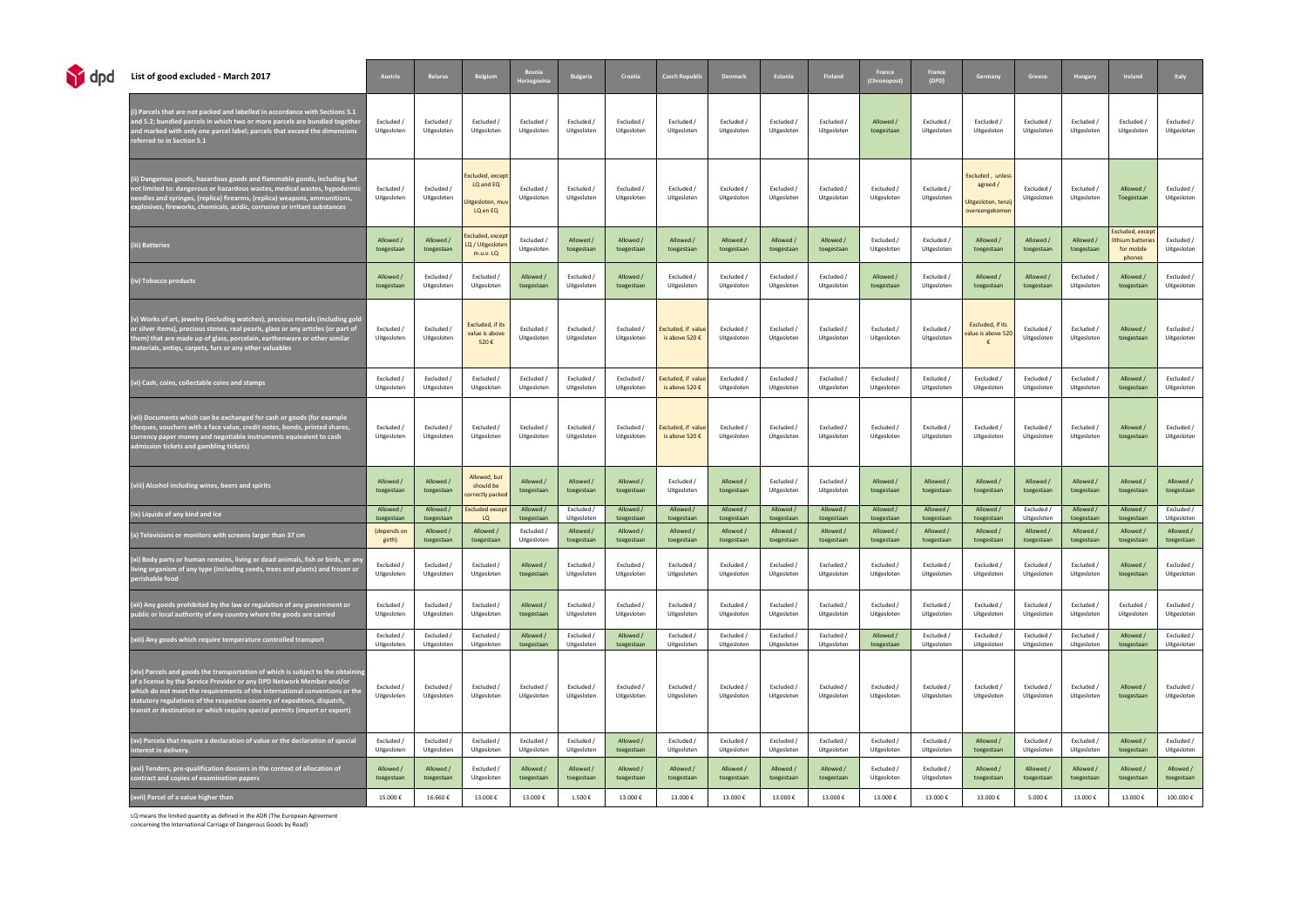| <b>M</b> dpd | List of good excluded - March 2017                                                                                                                                                                                                                                                                                                                                                              | Austria                   | <b>Belarus</b>            | Belgium                                                       | <b>Bosnia</b><br>Herzegovina | <b>Bulgaria</b>           | Croatia                   | <b>Czech Republio</b>                | <b>Denmark</b>            | Estonia                   | Finland                   | France<br>(Chronopost)    | France<br>(DPD)           | Germany                                                           | Greece                    | Hungary                   | Ireland                                                      | Italy                     |
|--------------|-------------------------------------------------------------------------------------------------------------------------------------------------------------------------------------------------------------------------------------------------------------------------------------------------------------------------------------------------------------------------------------------------|---------------------------|---------------------------|---------------------------------------------------------------|------------------------------|---------------------------|---------------------------|--------------------------------------|---------------------------|---------------------------|---------------------------|---------------------------|---------------------------|-------------------------------------------------------------------|---------------------------|---------------------------|--------------------------------------------------------------|---------------------------|
|              | i) Parcels that are not packed and labelled in accordance with Sections 5.1<br>and 5.2; bundled parcels in which two or more parcels are bundled together<br>and marked with only one parcel label; parcels that exceed the dimensions<br>eferred to in Section 5.1                                                                                                                             | Excluded /<br>Uitgesloten | Excluded /<br>Uitgesloten | Excluded /<br>Uitgesloten                                     | Excluded /<br>Uitgesloten    | Excluded /<br>Uitgesloten | Excluded /<br>Uitgesloten | Excluded /<br>Uitgesloten            | Excluded /<br>Uitgesloten | Excluded /<br>Uitgesloten | Excluded /<br>Uitgesloten | Allowed /<br>toegestaan   | Excluded /<br>Uitgesloten | Excluded /<br>Uitgesloten                                         | Excluded /<br>Uitgesloten | Excluded /<br>Uitgesloten | Excluded /<br>Uitgesloten                                    | Excluded /<br>Uitgesloten |
|              | ii) Dangerous goods, hazardous goods and flammable goods, including but<br>not limited to: dangerous or hazardous wastes, medical wastes, hypodermic<br>1eedles and syringes, (replica) firearms, (replica) weapons, ammunitions<br>explosives, fireworks, chemicals, acidic, corrosive or irritant substances                                                                                  | Excluded /<br>Uitgesloten | Excluded /<br>Uitgesloten | Excluded, except<br>LQ and EQ<br>litgesloten, muv<br>LQ en EQ | Excluded /<br>Uitgesloten    | Excluded /<br>Uitgesloten | Excluded /<br>Uitgesloten | Excluded /<br>Uitgesloten            | Excluded /<br>Uitgesloten | Excluded /<br>Uitgesloten | Excluded /<br>Uitgesloten | Excluded /<br>Uitgesloten | Excluded /<br>Uitgesloten | Excluded, unless<br>agreed /<br>itgesloten, ten:<br>vereengekomen | Excluded /<br>Uitgesloten | Excluded /<br>Uitgesloten | Allowed /<br>Toegestaan                                      | Excluded /<br>Uitgesloten |
|              | ii) Batteries                                                                                                                                                                                                                                                                                                                                                                                   | Allowed /<br>toegestaan   | Allowed /<br>toegestaan   | xcluded, except<br>.Q / Uitgesloter<br>$m.u.v.$ LQ            | Excluded /<br>Uitgesloten    | Allowed /<br>toegestaan   | Allowed /<br>toegestaan   | Allowed /<br>toegestaan              | Allowed /<br>toegestaan   | Allowed /<br>toegestaan   | Allowed /<br>toegestaan   | Excluded /<br>Uitgesloten | Excluded /<br>Uitgesloten | Allowed /<br>toegestaan                                           | Allowed /<br>toegestaan   | Allowed /<br>toegestaan   | Excluded, except<br>ithium batteries<br>for mobile<br>phones | Excluded /<br>Uitgesloten |
|              | iv) Tobacco products                                                                                                                                                                                                                                                                                                                                                                            | Allowed /<br>toegestaan   | Excluded /<br>Uitgesloten | Excluded /<br>Uitgesloten                                     | Allowed /<br>toegestaan      | Excluded /<br>Uitgesloten | Allowed /<br>toegestaan   | Excluded /<br>Uitgesloten            | Excluded /<br>Uitgesloten | Excluded /<br>Uitgesloten | Excluded /<br>Uitgesloten | Allowed /<br>toegestaan   | Excluded /<br>Uitgesloten | Allowed /<br>toegestaan                                           | Allowed /<br>toegestaan   | Excluded /<br>Uitgesloten | Allowed /<br>toegestaan                                      | Excluded /<br>Uitgesloten |
|              | v) Works of art, jewelry (including watches), precious metals (including golo<br>or silver items), precious stones, real pearls, glass or any articles (or part of<br>hem) that are made up of glass, porcelain, earthenware or other similar<br>materials, antiqs, carpets, furs or any other valuables                                                                                        | Excluded /<br>Uitgesloten | Excluded /<br>Uitgesloten | Excluded, if its<br>value is above<br>520€                    | Excluded /<br>Uitgesloten    | Excluded /<br>Uitgesloten | Excluded /<br>Uitgesloten | Excluded, if value<br>is above 520 € | Excluded /<br>Uitgesloten | Excluded /<br>Uitgesloten | Excluded /<br>Uitgesloten | Excluded /<br>Uitgesloten | Excluded /<br>Uitgesloten | Excluded, if its<br>alue is above 520                             | Excluded /<br>Uitgesloten | Excluded /<br>Uitgesloten | Allowed /<br>toegestaan                                      | Excluded /<br>Uitgesloten |
|              | vi) Cash, coins, collectable coins and stamps                                                                                                                                                                                                                                                                                                                                                   | Excluded /<br>Uitgesloten | Excluded /<br>Uitgesloten | Excluded /<br>Uitgesloten                                     | Excluded /<br>Uitgesloten    | Excluded /<br>Uitgesloten | Excluded /<br>Uitgesloten | Excluded, if value<br>is above 520 € | Excluded /<br>Uitgesloten | Excluded /<br>Uitgesloten | Excluded /<br>Uitgesloten | Excluded /<br>Uitgesloten | Excluded /<br>Uitgesloten | Excluded /<br>Uitgesloten                                         | Excluded /<br>Uitgesloten | Excluded /<br>Uitgesloten | Allowed /<br>toegestaan                                      | Excluded /<br>Uitgesloten |
|              | <i>i</i> ii) Documents which can be exchanged for cash or goods (for example<br>heques, vouchers with a face value, credit notes, bonds, printed shares,<br>urrency paper money and negotiable instruments equivalent to cash:<br>dmission tickets and gambling tickets)                                                                                                                        | Excluded /<br>Uitgesloten | Excluded /<br>Uitgesloten | Excluded /<br>Uitgesloten                                     | Excluded /<br>Uitgesloten    | Excluded /<br>Uitgesloten | Excluded /<br>Uitgesloten | Excluded, if value<br>is above 520 € | Excluded /<br>Uitgesloten | Excluded /<br>Uitgesloten | Excluded /<br>Uitgesloten | Excluded /<br>Uitgesloten | Excluded /<br>Uitgesloten | Excluded /<br>Uitgesloten                                         | Excluded /<br>Uitgesloten | Excluded /<br>Uitgesloten | Allowed /<br>toegestaan                                      | Excluded /<br>Uitgesloten |
|              | iii) Alcohol including wines, beers and spirits                                                                                                                                                                                                                                                                                                                                                 | Allowed /<br>toegestaan   | Allowed /<br>toegestaan   | Allowed, but<br>should be<br>correctly packed                 | Allowed /<br>toegestaan      | Allowed /<br>toegestaan   | Allowed /<br>toegestaan   | Excluded /<br>Uitgesloten            | Allowed /<br>toegestaan   | Excluded /<br>Uitgesloten | Excluded /<br>Uitgesloten | Allowed /<br>toegestaan   | Allowed /<br>toegestaan   | Allowed /<br>toegestaan                                           | Allowed /<br>toegestaan   | Allowed /<br>toegestaan   | Allowed /<br>toegestaan                                      | Allowed /<br>toegestaan   |
|              | ix) Liquids of any kind and ice                                                                                                                                                                                                                                                                                                                                                                 | Allowed /<br>toegestaan   | Allowed /<br>toegestaan   | <b>Excluded except</b><br>LQ                                  | Allowed /<br>toegestaan      | Excluded /<br>Uitgesloten | Allowed /<br>toegestaan   | Allowed /<br>toegestaan              | Allowed /<br>toegestaan   | Allowed /<br>toegestaan   | Allowed /<br>toegestaan   | Allowed /<br>toegestaan   | Allowed /<br>toegestaan   | Allowed /<br>toegestaan                                           | Excluded /<br>Uitgesloten | Allowed /<br>toegestaan   | Allowed /<br>toegestaan                                      | Excluded /<br>Uitgesloten |
|              | (x) Televisions or monitors with screens larger than 37 cm                                                                                                                                                                                                                                                                                                                                      | (depends on<br>girth)     | Allowed /<br>toegestaan   | Allowed /<br>toegestaan                                       | Excluded /<br>Uitgesloten    | Allowed /<br>toegestaan   | Allowed /<br>toegestaan   | Allowed /<br>toegestaan              | Allowed /<br>toegestaan   | Allowed /<br>toegestaan   | Allowed /<br>toegestaan   | Allowed /<br>toegestaan   | Allowed /<br>toegestaan   | Allowed /<br>toegestaan                                           | Allowed /<br>toegestaan   | Allowed /<br>toegestaan   | Allowed /<br>toegestaan                                      | Allowed /<br>toegestaan   |
|              | 'xi) Body parts or human remains, living or dead animals, fish or birds, or any<br>ving organism of any type (including seeds, trees and plants) and frozen or<br>erishable food                                                                                                                                                                                                                | Excluded /<br>Uitgesloten | Excluded /<br>Uitgesloten | Excluded /<br>Uitgesloten                                     | Allowed /<br>toegestaan      | Excluded /<br>Uitgesloten | Excluded /<br>Uitgesloten | Excluded /<br>Uitgesloten            | Excluded /<br>Uitgesloten | Excluded /<br>Uitgesloten | Excluded /<br>Uitgesloten | Excluded /<br>Uitgesloten | Excluded /<br>Uitgesloten | Excluded /<br>Uitgesloten                                         | Excluded /<br>Uitgesloten | Excluded /<br>Uitgesloten | Allowed /<br>toegestaan                                      | Excluded /<br>Uitgesloten |
|              | xii) Any goods prohibited by the law or regulation of any government or<br>$\mathop{\mathsf{sublic}}$ or local authority of any country where the goods are carried                                                                                                                                                                                                                             | Excluded /<br>Uitgesloten | Excluded /<br>Uitgesloten | Excluded /<br>Uitgesloten                                     | Allowed /<br>toegestaan      | Excluded /<br>Uitgesloten | Excluded /<br>Uitgesloten | Excluded /<br>Uitgesloten            | Excluded /<br>Uitgesloten | Excluded /<br>Uitgesloten | Excluded /<br>Uitgesloten | Excluded /<br>Uitgesloten | Excluded /<br>Uitgesloten | Excluded /<br>Uitgesloten                                         | Excluded /<br>Uitgesloten | Excluded /<br>Uitgesloten | Excluded /<br>Uitgesloten                                    | Excluded /<br>Uitgesloten |
|              | xiii) Any goods which require temperature controlled transport                                                                                                                                                                                                                                                                                                                                  | Excluded /<br>Uitgesloten | Excluded /<br>Uitgesloten | Excluded /<br>Uitgesloten                                     | Allowed /<br>toegestaan      | Excluded /<br>Uitgesloten | Allowed /<br>toegestaan   | Excluded /<br>Uitgesloten            | Excluded /<br>Uitgesloten | Excluded /<br>Uitgesloten | Excluded /<br>Uitgesloten | Allowed /<br>toegestaan   | Excluded /<br>Uitgesloten | Excluded /<br>Uitgesloten                                         | Excluded /<br>Uitgesloten | Excluded /<br>Uitgesloten | Allowed /<br>toegestaan                                      | Excluded /<br>Uitgesloten |
|              | [xiv] Parcels and goods the transportation of which is subject to the obtainin<br>of a license by the Service Provider or any DPD Network Member and/or<br>which do not meet the requirements of the international conventions or the<br>statutory regulations of the respective country of expedition, dispatch,<br>transit or destination or which require special permits (import or export) | Excluded /<br>Uitgesloten | Excluded /<br>Uitgesloten | Excluded /<br>Uitgesloten                                     | Excluded /<br>Uitgesloten    | Excluded /<br>Uitgesloten | Excluded /<br>Uitgesloten | Excluded /<br>Uitgesloten            | Excluded /<br>Uitgesloten | Excluded /<br>Uitgesloten | Excluded /<br>Uitgesloten | Excluded /<br>Uitgesloten | Excluded /<br>Uitgesloten | Excluded /<br>Uitgesloten                                         | Excluded /<br>Uitgesloten | Excluded /<br>Uitgesloten | Allowed /<br>toegestaan                                      | Excluded /<br>Uitgesloten |
|              | (xv) Parcels that require a declaration of value or the declaration of special<br>nterest in delivery.                                                                                                                                                                                                                                                                                          | Excluded /<br>Uitgesloten | Excluded /<br>Uitgesloten | Excluded /<br>Uitgesloten                                     | Excluded /<br>Uitgesloten    | Excluded /<br>Uitgesloten | Allowed /<br>toegestaan   | Excluded /<br>Uitgesloten            | Excluded /<br>Uitgesloten | Excluded /<br>Uitgesloten | Excluded /<br>Uitgesloten | Excluded /<br>Uitgesloten | Excluded /<br>Uitgesloten | Allowed /<br>toegestaan                                           | Excluded /<br>Uitgesloten | Excluded /<br>Uitgesloten | Allowed /<br>toegestaan                                      | Excluded /<br>Uitgesloten |
|              | [xvi] Tenders, pre-qualification dossiers in the context of allocation of<br>contract and copies of examination papers                                                                                                                                                                                                                                                                          | Allowed /<br>toegestaan   | Allowed /<br>toegestaan   | Excluded /<br>Uitgesloten                                     | Allowed /<br>toegestaan      | Allowed /<br>toegestaan   | Allowed /<br>toegestaan   | Allowed /<br>toegestaan              | Allowed /<br>toegestaan   | Allowed /<br>toegestaan   | Allowed /<br>toegestaan   | Excluded /<br>Uitgesloten | Excluded /<br>Uitgesloten | Allowed /<br>toegestaan                                           | Allowed /<br>toegestaan   | Allowed /<br>toegestaan   | Allowed /<br>toegestaan                                      | Allowed /<br>toegestaan   |
|              | xvii) Parcel of a value higher than                                                                                                                                                                                                                                                                                                                                                             | 15.000€                   | 16.660€                   | 13.000€                                                       | 13.000€                      | 1.500€                    | 13.000€                   | 13.000€                              | 13.000€                   | 13.000€                   | 13.000€                   | 13.000€                   | 13.000€                   | 13.000€                                                           | 5.000€                    | 13.000€                   | 13.000€                                                      | 100.000€                  |

LQ means the limited quantity as defined in the ADR (The European Agreement

concerning the International Carriage of Dangerous Goods by Road)